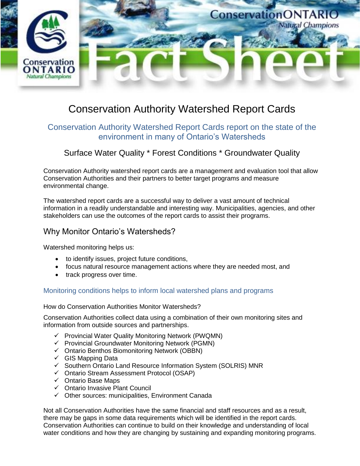

# Conservation Authority Watershed Report Cards

## Conservation Authority Watershed Report Cards report on the state of the environment in many of Ontario's Watersheds

# Surface Water Quality \* Forest Conditions \* Groundwater Quality

Conservation Authority watershed report cards are a management and evaluation tool that allow Conservation Authorities and their partners to better target programs and measure environmental change.

The watershed report cards are a successful way to deliver a vast amount of technical information in a readily understandable and interesting way. Municipalities, agencies, and other stakeholders can use the outcomes of the report cards to assist their programs.

## Why Monitor Ontario's Watersheds?

Watershed monitoring helps us:

- to identify issues, project future conditions,
- focus natural resource management actions where they are needed most, and
- track progress over time.

#### Monitoring conditions helps to inform local watershed plans and programs

How do Conservation Authorities Monitor Watersheds?

Conservation Authorities collect data using a combination of their own monitoring sites and information from outside sources and partnerships.

- $\checkmark$  Provincial Water Quality Monitoring Network (PWQMN)
- $\checkmark$  Provincial Groundwater Monitoring Network (PGMN)
- $\checkmark$  Ontario Benthos Biomonitoring Network (OBBN)
- $\checkmark$  GIS Mapping Data
- $\checkmark$  Southern Ontario Land Resource Information System (SOLRIS) MNR
- Ontario Stream Assessment Protocol (OSAP)
- $\checkmark$  Ontario Base Maps
- $\checkmark$  Ontario Invasive Plant Council
- $\checkmark$  Other sources: municipalities, Environment Canada

Not all Conservation Authorities have the same financial and staff resources and as a result, there may be gaps in some data requirements which will be identified in the report cards. Conservation Authorities can continue to build on their knowledge and understanding of local water conditions and how they are changing by sustaining and expanding monitoring programs.